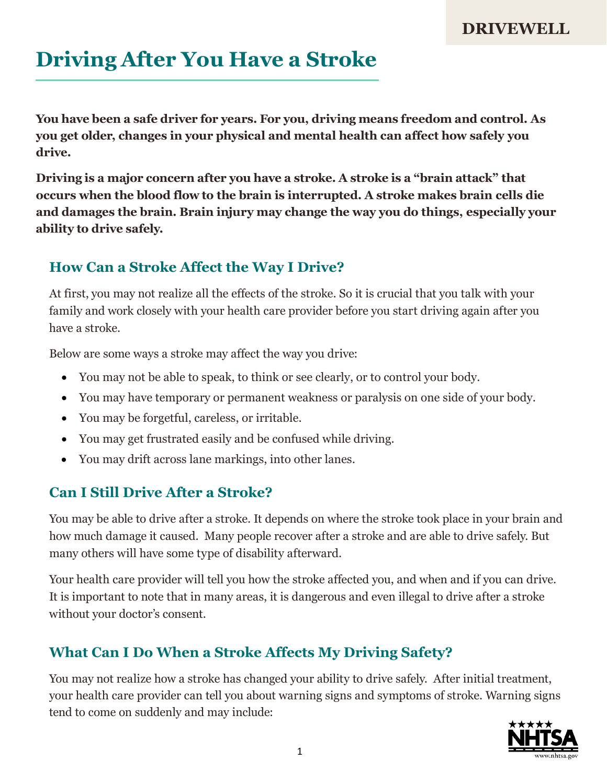### **Driving After You Have a Stroke**

**You have been a safe driver for years. For you, driving means freedom and control. As you get older, changes in your physical and mental health can affect how safely you drive.**

**Driving is a major concern after you have a stroke. A stroke is a "brain attack" that occurs when the blood flow to the brain is interrupted. A stroke makes brain cells die and damages the brain. Brain injury may change the way you do things, especially your ability to drive safely.**

### **How Can a Stroke Affect the Way I Drive?**

At first, you may not realize all the effects of the stroke. So it is crucial that you talk with your family and work closely with your health care provider before you start driving again after you have a stroke.

Below are some ways a stroke may affect the way you drive:

- You may not be able to speak, to think or see clearly, or to control your body.
- You may have temporary or permanent weakness or paralysis on one side of your body.
- You may be forgetful, careless, or irritable.
- You may get frustrated easily and be confused while driving.
- You may drift across lane markings, into other lanes.

### **Can I Still Drive After a Stroke?**

You may be able to drive after a stroke. It depends on where the stroke took place in your brain and how much damage it caused. Many people recover after a stroke and are able to drive safely. But many others will have some type of disability afterward.

Your health care provider will tell you how the stroke affected you, and when and if you can drive. It is important to note that in many areas, it is dangerous and even illegal to drive after a stroke without your doctor's consent.

### **What Can I Do When a Stroke Affects My Driving Safety?**

You may not realize how a stroke has changed your ability to drive safely. After initial treatment, your health care provider can tell you about warning signs and symptoms of stroke. Warning signs tend to come on suddenly and may include:

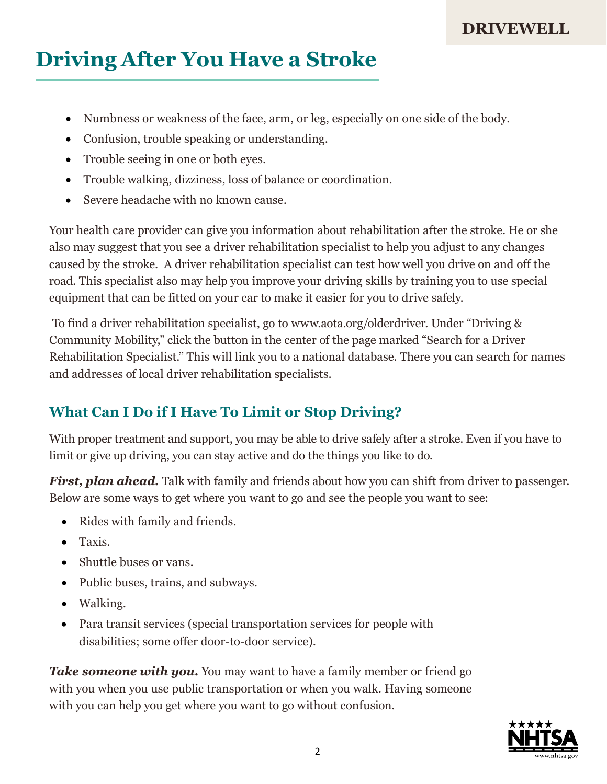# **Driving After You Have a Stroke**

- Numbness or weakness of the face, arm, or leg, especially on one side of the body.
- Confusion, trouble speaking or understanding.
- Trouble seeing in one or both eyes.
- Trouble walking, dizziness, loss of balance or coordination.
- Severe headache with no known cause.

Your health care provider can give you information about rehabilitation after the stroke. He or she also may suggest that you see a driver rehabilitation specialist to help you adjust to any changes caused by the stroke. A driver rehabilitation specialist can test how well you drive on and off the road. This specialist also may help you improve your driving skills by training you to use special equipment that can be fitted on your car to make it easier for you to drive safely.

To find a driver rehabilitation specialist, go [to www.aota.org/olderdriver.](http://www.aota.org/olderdriver) Under "Driving & Community Mobility," click the button in the center of the page marked "Search for a Driver Rehabilitation Specialist." This will link you to a national database. There you can search for names and addresses of local driver rehabilitation specialists.

### **What Can I Do if I Have To Limit or Stop Driving?**

With proper treatment and support, you may be able to drive safely after a stroke. Even if you have to limit or give up driving, you can stay active and do the things you like to do.

*First, plan ahead.* Talk with family and friends about how you can shift from driver to passenger. Below are some ways to get where you want to go and see the people you want to see:

- Rides with family and friends.
- Taxis.
- Shuttle buses or vans.
- Public buses, trains, and subways.
- Walking.
- Para transit services (special transportation services for people with disabilities; some offer door-to-door service).

*Take someone with you.* You may want to have a family member or friend go with you when you use public transportation or when you walk. Having someone with you can help you get where you want to go without confusion.